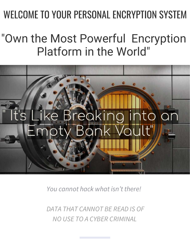# WELCOME TO YOUR PERSONAL ENCRYPTION SYSTEM

## "Own the Most Powerful Encryption Platform in the World"



*You cannot hack what isn't there!* 

 *DATA THAT CANNOT BE READ IS OF NO USE TO A CYBER CRIMINAL*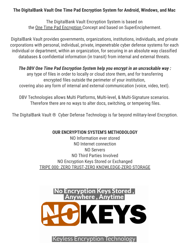#### **The DigitalBank Vault One Time Pad Encryption System for Android, Windows, and Mac**

The DigitalBank Vault Encryption System is based on the One Time Pad Encryption Concept and based on SuperEncipherment.

DigitalBank Vault provides governments, organizations, institutions, individuals, and private corporations with personal, individual, private, impenetrable cyber defense systems for each individual or department, within an organization, for securing in an absolute way classified databases & confidential information (in transit) from internal and external threats.

*The DBV One Time Pad Encryption System help you encrypt in an uncrackable way :* any type of files in order to locally or cloud store them, and for transferring encrypted files outside the perimeter of your institution, covering also any form of internal and external communication (voice, video, text).

DBV Technologies allows Multi Platforms, Multi-level, & Multi-Signature scenarios. Therefore there are no ways to alter docs, switching, or tempering files.

The DigitalBank Vault ® Cyber Defense Technology is far beyond military-level Encryption.

#### **OUR ENCRYPTION SYSTEM'S METHODOLOGY**

NO Information ever stored NO Internet connection NO Servers NO Third Parties Involved NO Encryption Keys Stored or Exchanged TRIPE 000: ZERO TRUST-ZERO KNOWLEDGE-ZERO STORAGE



**Keyless Encryption Technology**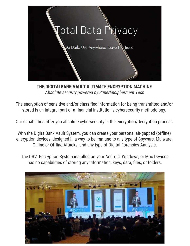

**THE DIGITALBANK VAULT ULTIMATE ENCRYPTION MACHINE**  *Absolute security powered by SuperEncipherment Tech*

The encryption of sensitive and/or classified information for being transmitted and/or stored is an integral part of a financial institution's cybersecurity methodology.

Our capabilities offer you absolute cybersecurity in the encryption/decryption process.

With the DigitalBank Vault System, you can create your personal air-gapped (offline) encryption devices, designed in a way to be immune to any type of Spyware, Malware, Online or Offline Attacks, and any type of Digital Forensics Analysis.

The DBV Encryption System installed on your Android, Windows, or Mac Devices has no capabilities of storing any information, keys, data, files, or folders.

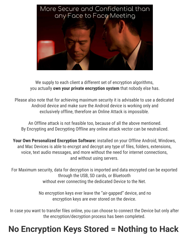

We supply to each client a different set of encryption algorithms, you actually **own your private encryption system** that nobody else has.

Please also note that for achieving maximum security it is advisable to use a dedicated Android device and make sure the Android device is working only and exclusively offline, therefore an Online Attack is impossible.

An Offline attack is not feasible too, because of all the above mentioned. By Encrypting and Decrypting Offline any online attack vector can be neutralized.

**Your Own Personalized Encryption Software:** installed on your Offline Android, Windows, and Mac Devices is able to encrypt and decrypt any type of files, folders, extensions, voice, text audio messages, and more without the need for internet connections, and without using servers.

For Maximum security, data for decryption is imported and data encrypted can be exported through the USB, SD cards, or Bluetooth without ever connecting the dedicated Device to the Net.

> No encryption keys ever leave the "air-gapped" device, and no encryption keys are ever stored on the device.

In case you want to transfer files online, you can choose to connect the Device but only after the encryption/decryption process has been completed.

### **No Encryption Keys Stored = Nothing to Hack**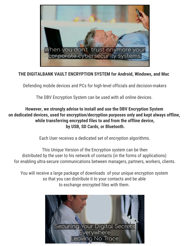

#### **THE DIGITALBANK VAULT ENCRYPTION SYSTEM for Android, Windows, and Mac**

Defending mobile devices and PCs for high-level officials and decision-makers

The DBV Encryption System can be used with all online devices.

#### **However, we strongly advise to install and use the DBV Encryption System on dedicated devices, used for encryption/decryption purposes only and kept always offline, while transferring encrypted files to and from the offline device, by USB, SD Cards, or Bluetooth.**

Each User receives a dedicated set of encryption algorithms.

This Unique Version of the Encryption system can be then distributed by the user to his network of contacts (in the forms of applications) for enabling ultra-secure communications between managers, partners, workers, clients.

You will receive a large package of downloads of your unique encryption system so that you can distribute it to your contacts and be able to exchange encrypted files with them.

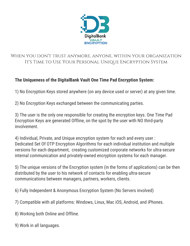

#### When you don't trust anymore, anyone, within your organization It's TIME to Use Your Personal Unique Encryption System

#### **The Uniqueness of the DigitalBank Vault One Time Pad Encryption System:**

1) No Encryption Keys stored anywhere (on any device used or server) at any given time.

2) No Encryption Keys exchanged between the communicating parties.

3) The user is the only one responsible for creating the encryption keys. One Time Pad Encryption Keys are generated Offline, on the spot by the user with NO third-party involvement.

4) Individual, Private, and Unique encryption system for each and every user : Dedicated Set Of OTP Encryption Algorithms for each individual institution and multiple versions for each department, creating customized corporate networks for ultra-secure internal communication and privately-owned encryption systems for each manager.

5) The unique versions of the Encryption system (in the forms of applications) can be then distributed by the user to his network of contacts for enabling ultra-secure communications between managers, partners, workers, clients.

6) Fully Independent & Anonymous Encryption System (No Servers involved)

7) Compatible with all platforms: Windows, Linux, Mac iOS, Android, and iPhones.

- 8) Working both Online and Offline.
- 9) Work in all languages.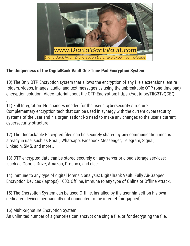

#### **The Uniqueness of the DigitalBank Vault One Time Pad Encryption System:**

10) The Only OTP Encryption system that allows the encryption of any file's extensions, entire folders, videos, images, audio, and text messages by using the unbreakable OTP (one-time pad) encryption solution. Video tutorial about the OTP Encryption: https://youtu.be/FlIG3TvQCBQ

11) Full Integration: No changes needed for the user's cybersecurity structure. Complementary encryption tech that can be used in synergy with the current cybersecurity systems of the user and his organization: No need to make any changes to the user's current cybersecurity structure.

12) The Uncrackable Encrypted files can be securely shared by any communication means already in use, such as Gmail, Whatsapp, Facebook Messenger, Telegram, Signal, LinkedIn, SMS, and more…

13) OTP encrypted data can be stored securely on any server or cloud storage services: such as Google Drive, Amazon, Dropbox, and else.

14) Immune to any type of digital forensic analysis: DigitalBank Vault Fully Air-Gapped Encryption Devices (laptops) 100% Offline, Immune to any type of Online or Offline Attack.

15) The Encryption System can be used Offline, installed by the user himself on his own dedicated devices permanently not connected to the internet (air-gapped).

16) Multi-Signature Encryption System:

An unlimited number of signatories can encrypt one single file, or for decrypting the file.